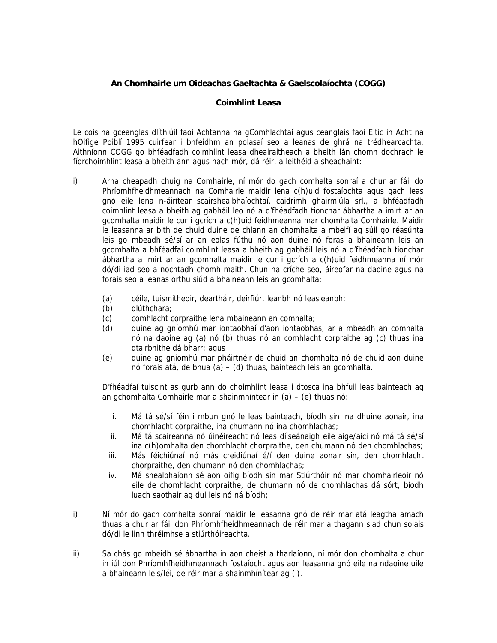## **An Chomhairle um Oideachas Gaeltachta & Gaelscolaíochta (COGG)**

### **Coimhlint Leasa**

Le cois na gceanglas dlíthiúil faoi Achtanna na gComhlachtaí agus ceanglais faoi Eitic in Acht na hOifige Poiblí 1995 cuirfear i bhfeidhm an polasaí seo a leanas de ghrá na trédhearcachta. Aithníonn COGG go bhféadfadh coimhlint leasa dhealraitheach a bheith lán chomh dochrach le fíorchoimhlint leasa a bheith ann agus nach mór, dá réir, a leithéid a sheachaint:

- i) Arna cheapadh chuig na Comhairle, ní mór do gach comhalta sonraí a chur ar fáil do Phríomhfheidhmeannach na Comhairle maidir lena c(h)uid fostaíochta agus gach leas gnó eile lena n-áirítear scairshealbhaíochtaí, caidrimh ghairmiúla srl., a bhféadfadh coimhlint leasa a bheith ag gabháil leo nó a d'fhéadfadh tionchar ábhartha a imirt ar an gcomhalta maidir le cur i gcrích a c(h)uid feidhmeanna mar chomhalta Comhairle. Maidir le leasanna ar bith de chuid duine de chlann an chomhalta a mbeifí ag súil go réasúnta leis go mbeadh sé/sí ar an eolas fúthu nó aon duine nó foras a bhaineann leis an gcomhalta a bhféadfaí coimhlint leasa a bheith ag gabháil leis nó a d'fhéadfadh tionchar ábhartha a imirt ar an gcomhalta maidir le cur i gcrích a c(h)uid feidhmeanna ní mór dó/di iad seo a nochtadh chomh maith. Chun na críche seo, áireofar na daoine agus na forais seo a leanas orthu siúd a bhaineann leis an gcomhalta:
	- (a) céile, tuismitheoir, deartháir, deirfiúr, leanbh nó leasleanbh;
	- (b) dlúthchara;
	- (c) comhlacht corpraithe lena mbaineann an comhalta;
	- (d) duine ag gníomhú mar iontaobhaí d'aon iontaobhas, ar a mbeadh an comhalta nó na daoine ag (a) nó (b) thuas nó an comhlacht corpraithe ag (c) thuas ina dtairbhithe dá bharr; agus
	- (e) duine ag gníomhú mar pháirtnéir de chuid an chomhalta nó de chuid aon duine nó forais atá, de bhua (a) – (d) thuas, bainteach leis an gcomhalta.

D'fhéadfaí tuiscint as gurb ann do choimhlint leasa i dtosca ina bhfuil leas bainteach ag an gchomhalta Comhairle mar a shainmhíntear in (a) – (e) thuas nó:

- i. Má tá sé/sí féin i mbun gnó le leas bainteach, bíodh sin ina dhuine aonair, ina chomhlacht corpraithe, ina chumann nó ina chomhlachas;
- ii. Má tá scaireanna nó úinéireacht nó leas dílseánaigh eile aige/aici nó má tá sé/sí ina c(h)omhalta den chomhlacht chorpraithe, den chumann nó den chomhlachas;
- iii. Más féichiúnaí nó más creidiúnaí é/í den duine aonair sin, den chomhlacht chorpraithe, den chumann nó den chomhlachas;
- iv. Má shealbhaíonn sé aon oifig bíodh sin mar Stiúrthóir nó mar chomhairleoir nó eile de chomhlacht corpraithe, de chumann nó de chomhlachas dá sórt, bíodh luach saothair ag dul leis nó ná bíodh;
- i) Ní mór do gach comhalta sonraí maidir le leasanna gnó de réir mar atá leagtha amach thuas a chur ar fáil don Phríomhfheidhmeannach de réir mar a thagann siad chun solais dó/di le linn thréimhse a stiúrthóireachta.
- ii) Sa chás go mbeidh sé ábhartha in aon cheist a tharlaíonn, ní mór don chomhalta a chur in iúl don Phríomhfheidhmeannach fostaíocht agus aon leasanna gnó eile na ndaoine uile a bhaineann leis/léi, de réir mar a shainmhínítear ag (i).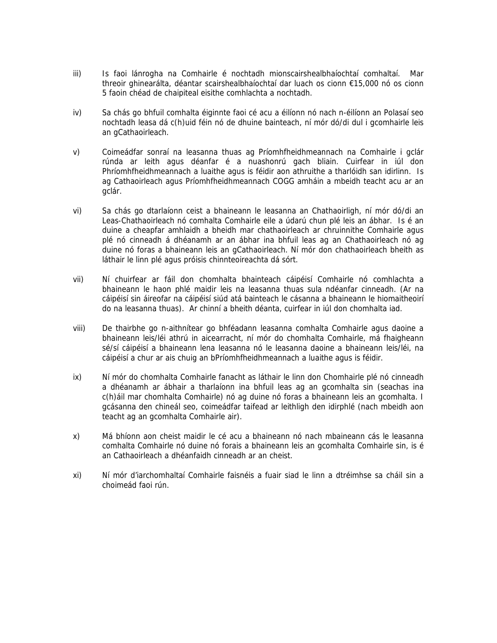- iii) Is faoi lánrogha na Comhairle é nochtadh mionscairshealbhaíochtaí comhaltaí. Mar threoir ghinearálta, déantar scairshealbhaíochtaí dar luach os cionn €15,000 nó os cionn 5 faoin chéad de chaipiteal eisithe comhlachta a nochtadh.
- iv) Sa chás go bhfuil comhalta éiginnte faoi cé acu a éilíonn nó nach n-éilíonn an Polasaí seo nochtadh leasa dá c(h)uid féin nó de dhuine bainteach, ní mór dó/di dul i gcomhairle leis an gCathaoirleach.
- v) Coimeádfar sonraí na leasanna thuas ag Príomhfheidhmeannach na Comhairle i gclár rúnda ar leith agus déanfar é a nuashonrú gach bliain. Cuirfear in iúl don Phríomhfheidhmeannach a luaithe agus is féidir aon athruithe a tharlóidh san idirlinn. Is ag Cathaoirleach agus Príomhfheidhmeannach COGG amháin a mbeidh teacht acu ar an gclár.
- vi) Sa chás go dtarlaíonn ceist a bhaineann le leasanna an Chathaoirligh, ní mór dó/di an Leas-Chathaoirleach nó comhalta Comhairle eile a údarú chun plé leis an ábhar. Is é an duine a cheapfar amhlaidh a bheidh mar chathaoirleach ar chruinnithe Comhairle agus plé nó cinneadh á dhéanamh ar an ábhar ina bhfuil leas ag an Chathaoirleach nó ag duine nó foras a bhaineann leis an gCathaoirleach. Ní mór don chathaoirleach bheith as láthair le linn plé agus próisis chinnteoireachta dá sórt.
- vii) Ní chuirfear ar fáil don chomhalta bhainteach cáipéisí Comhairle nó comhlachta a bhaineann le haon phlé maidir leis na leasanna thuas sula ndéanfar cinneadh. (Ar na cáipéisí sin áireofar na cáipéisí siúd atá bainteach le cásanna a bhaineann le hiomaitheoirí do na leasanna thuas). Ar chinní a bheith déanta, cuirfear in iúl don chomhalta iad.
- viii) De thairbhe go n-aithnítear go bhféadann leasanna comhalta Comhairle agus daoine a bhaineann leis/léi athrú in aicearracht, ní mór do chomhalta Comhairle, má fhaigheann sé/sí cáipéisí a bhaineann lena leasanna nó le leasanna daoine a bhaineann leis/léi, na cáipéisí a chur ar ais chuig an bPríomhfheidhmeannach a luaithe agus is féidir.
- ix) Ní mór do chomhalta Comhairle fanacht as láthair le linn don Chomhairle plé nó cinneadh a dhéanamh ar ábhair a tharlaíonn ina bhfuil leas ag an gcomhalta sin (seachas ina c(h)áil mar chomhalta Comhairle) nó ag duine nó foras a bhaineann leis an gcomhalta. I gcásanna den chineál seo, coimeádfar taifead ar leithligh den idirphlé (nach mbeidh aon teacht ag an gcomhalta Comhairle air).
- x) Má bhíonn aon cheist maidir le cé acu a bhaineann nó nach mbaineann cás le leasanna comhalta Comhairle nó duine nó forais a bhaineann leis an gcomhalta Comhairle sin, is é an Cathaoirleach a dhéanfaidh cinneadh ar an cheist.
- xi) Ní mór d'iarchomhaltaí Comhairle faisnéis a fuair siad le linn a dtréimhse sa cháil sin a choimeád faoi rún.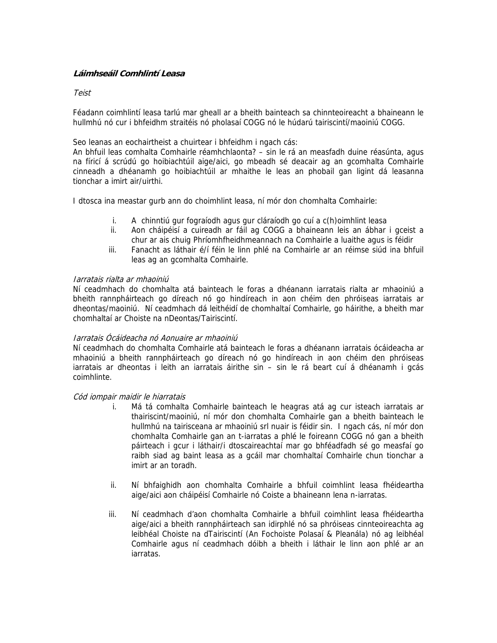# **Láimhseáil Comhlintí Leasa**

## Teist

Féadann coimhlintí leasa tarlú mar gheall ar a bheith bainteach sa chinnteoireacht a bhaineann le hullmhú nó cur i bhfeidhm straitéis nó pholasaí COGG nó le húdarú tairiscintí/maoiniú COGG.

Seo leanas an eochairtheist a chuirtear i bhfeidhm i ngach cás:

An bhfuil leas comhalta Comhairle réamhchlaonta? – sin le rá an measfadh duine réasúnta, agus na fíricí á scrúdú go hoibiachtúil aige/aici, go mbeadh sé deacair ag an gcomhalta Comhairle cinneadh a dhéanamh go hoibiachtúil ar mhaithe le leas an phobail gan ligint dá leasanna tionchar a imirt air/uirthi.

I dtosca ina meastar gurb ann do choimhlint leasa, ní mór don chomhalta Comhairle:

- i. A chinntiú gur fograíodh agus gur cláraíodh go cuí a c(h)oimhlint leasa
- ii. Aon cháipéisí a cuireadh ar fáil ag COGG a bhaineann leis an ábhar i gceist a chur ar ais chuig Phríomhfheidhmeannach na Comhairle a luaithe agus is féidir
- iii. Fanacht as láthair é/í féin le linn phlé na Comhairle ar an réimse siúd ina bhfuil leas ag an gcomhalta Comhairle.

### Iarratais rialta ar mhaoiniú

Ní ceadmhach do chomhalta atá bainteach le foras a dhéanann iarratais rialta ar mhaoiniú a bheith rannpháirteach go díreach nó go hindíreach in aon chéim den phróiseas iarratais ar dheontas/maoiniú. Ní ceadmhach dá leithéidí de chomhaltaí Comhairle, go háirithe, a bheith mar chomhaltaí ar Choiste na nDeontas/Tairiscintí.

# Iarratais Ócáideacha nó Aonuaire ar mhaoiniú

Ní ceadmhach do chomhalta Comhairle atá bainteach le foras a dhéanann iarratais ócáideacha ar mhaoiniú a bheith rannpháirteach go díreach nó go hindíreach in aon chéim den phróiseas iarratais ar dheontas i leith an iarratais áirithe sin – sin le rá beart cuí á dhéanamh i gcás coimhlinte.

#### Cód iompair maidir le hiarratais

- i. Má tá comhalta Comhairle bainteach le heagras atá ag cur isteach iarratais ar thairiscint/maoiniú, ní mór don chomhalta Comhairle gan a bheith bainteach le hullmhú na tairisceana ar mhaoiniú srl nuair is féidir sin. I ngach cás, ní mór don chomhalta Comhairle gan an t-iarratas a phlé le foireann COGG nó gan a bheith páirteach i gcur i láthair/i dtoscaireachtaí mar go bhféadfadh sé go measfaí go raibh siad ag baint leasa as a gcáil mar chomhaltaí Comhairle chun tionchar a imirt ar an toradh.
- ii. Ní bhfaighidh aon chomhalta Comhairle a bhfuil coimhlint leasa fhéideartha aige/aici aon cháipéisí Comhairle nó Coiste a bhaineann lena n-iarratas.
- iii. Ní ceadmhach d'aon chomhalta Comhairle a bhfuil coimhlint leasa fhéideartha aige/aici a bheith rannpháirteach san idirphlé nó sa phróiseas cinnteoireachta ag leibhéal Choiste na dTairiscintí (An Fochoiste Polasaí & Pleanála) nó ag leibhéal Comhairle agus ní ceadmhach dóibh a bheith i láthair le linn aon phlé ar an iarratas.